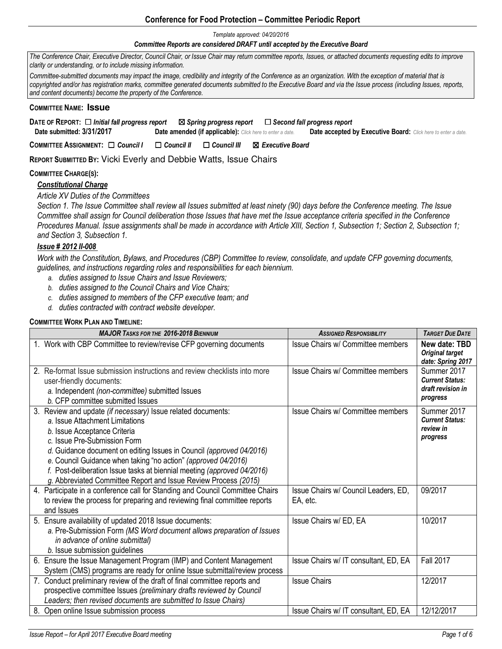# **Conference for Food Protection – Committee Periodic Report**

*Template approved: 04/20/2016* 

#### *Committee Reports are considered DRAFT until accepted by the Executive Board*

*The Conference Chair, Executive Director, Council Chair, or Issue Chair may return committee reports, Issues, or attached documents requesting edits to improve clarity or understanding, or to include missing information.* 

*Committee-submitted documents may impact the image, credibility and integrity of the Conference as an organization. With the exception of material that is*  copyrighted and/or has registration marks, committee generated documents submitted to the Executive Board and via the Issue process (including Issues, reports, *and content documents) become the property of the Conference.* 

### **COMMITTEE NAME: Issue**

**DATE OF REPORT:** ☐ *Initial fall progress report* ☒*Spring progress report* ☐*Second fall progress report*   **Date submitted: 3/31/2017 Date amended (if applicable):** *Click here to enter a date.* **Date accepted by Executive Board:** *Click here to enter a date.*

**COMMITTEE ASSIGNMENT:** ☐ *Council I* ☐ *Council II* ☐ *Council III* ☒ *Executive Board* 

**REPORT SUBMITTED BY:** Vicki Everly and Debbie Watts, Issue Chairs

## **COMMITTEE CHARGE(S):**

*Constitutional Charge* 

*Article XV Duties of the Committees* 

*Section 1. The Issue Committee shall review all Issues submitted at least ninety (90) days before the Conference meeting. The Issue Committee shall assign for Council deliberation those Issues that have met the Issue acceptance criteria specified in the Conference Procedures Manual. Issue assignments shall be made in accordance with Article XIII, Section 1, Subsection 1; Section 2, Subsection 1; and Section 3, Subsection 1.* 

## *Issue # 2012 II-008*

*Work with the Constitution, Bylaws, and Procedures (CBP) Committee to review, consolidate, and update CFP governing documents, guidelines, and instructions regarding roles and responsibilities for each biennium.* 

- *a. duties assigned to Issue Chairs and Issue Reviewers;*
- *b. duties assigned to the Council Chairs and Vice Chairs;*
- *c. duties assigned to members of the CFP executive team; and*
- *d. duties contracted with contract website developer.*

### **COMMITTEE WORK PLAN AND TIMELINE:**

| <b>MAJOR TASKS FOR THE 2016-2018 BIENNIUM</b>                                                                                                                                                                                                                                                                                                                                                                                                           | <b>ASSIGNED RESPONSIBILITY</b>                   | <b>TARGET DUE DATE</b>                                                 |
|---------------------------------------------------------------------------------------------------------------------------------------------------------------------------------------------------------------------------------------------------------------------------------------------------------------------------------------------------------------------------------------------------------------------------------------------------------|--------------------------------------------------|------------------------------------------------------------------------|
| 1. Work with CBP Committee to review/revise CFP governing documents                                                                                                                                                                                                                                                                                                                                                                                     | Issue Chairs w/ Committee members                | New date: TBD<br><b>Original target</b><br>date: Spring 2017           |
| 2. Re-format Issue submission instructions and review checklists into more<br>user-friendly documents:<br>a. Independent (non-committee) submitted Issues<br>b. CFP committee submitted Issues                                                                                                                                                                                                                                                          | Issue Chairs w/ Committee members                | Summer 2017<br><b>Current Status:</b><br>draft revision in<br>progress |
| 3. Review and update (if necessary) Issue related documents:<br>a. Issue Attachment Limitations<br>b. Issue Acceptance Criteria<br>c. Issue Pre-Submission Form<br>d. Guidance document on editing Issues in Council (approved 04/2016)<br>e. Council Guidance when taking "no action" (approved 04/2016)<br>f. Post-deliberation Issue tasks at biennial meeting (approved 04/2016)<br>g. Abbreviated Committee Report and Issue Review Process (2015) | Issue Chairs w/ Committee members                | Summer 2017<br><b>Current Status:</b><br>review in<br>progress         |
| 4. Participate in a conference call for Standing and Council Committee Chairs<br>to review the process for preparing and reviewing final committee reports<br>and Issues                                                                                                                                                                                                                                                                                | Issue Chairs w/ Council Leaders, ED,<br>EA, etc. | 09/2017                                                                |
| 5. Ensure availability of updated 2018 Issue documents:<br>a. Pre-Submission Form (MS Word document allows preparation of Issues<br>in advance of online submittal)<br>b. Issue submission guidelines                                                                                                                                                                                                                                                   | Issue Chairs w/ ED, EA                           | 10/2017                                                                |
| 6. Ensure the Issue Management Program (IMP) and Content Management<br>System (CMS) programs are ready for online Issue submittal/review process                                                                                                                                                                                                                                                                                                        | Issue Chairs w/ IT consultant, ED, EA            | <b>Fall 2017</b>                                                       |
| Conduct preliminary review of the draft of final committee reports and<br>7.<br>prospective committee Issues (preliminary drafts reviewed by Council<br>Leaders; then revised documents are submitted to Issue Chairs)                                                                                                                                                                                                                                  | <b>Issue Chairs</b>                              | 12/2017                                                                |
| 8.<br>Open online Issue submission process                                                                                                                                                                                                                                                                                                                                                                                                              | Issue Chairs w/ IT consultant, ED, EA            | 12/12/2017                                                             |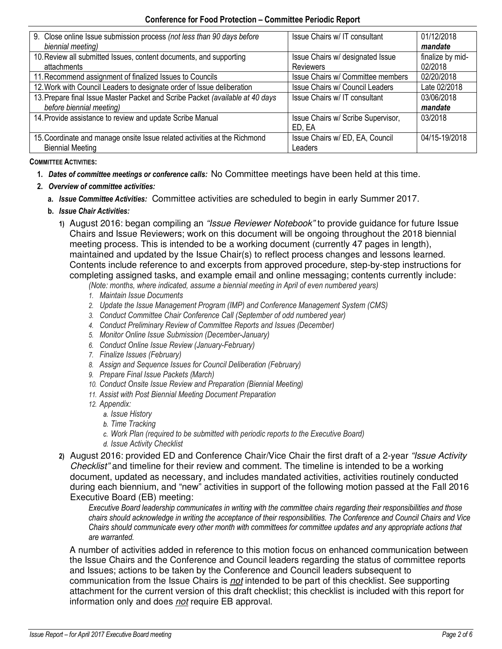| 9. Close online Issue submission process (not less than 90 days before<br>biennial meeting)               | Issue Chairs w/ IT consultant                        | 01/12/2018<br>mandate       |
|-----------------------------------------------------------------------------------------------------------|------------------------------------------------------|-----------------------------|
| 10. Review all submitted Issues, content documents, and supporting<br>attachments                         | Issue Chairs w/ designated Issue<br><b>Reviewers</b> | finalize by mid-<br>02/2018 |
| 11. Recommend assignment of finalized Issues to Councils                                                  | Issue Chairs w/ Committee members                    | 02/20/2018                  |
| 12. Work with Council Leaders to designate order of Issue deliberation                                    | Issue Chairs w/ Council Leaders                      | Late 02/2018                |
| 13. Prepare final Issue Master Packet and Scribe Packet (available at 40 days<br>before biennial meeting) | Issue Chairs w/ IT consultant                        | 03/06/2018<br>mandate       |
| 14. Provide assistance to review and update Scribe Manual                                                 | Issue Chairs w/ Scribe Supervisor,<br>ED, EA         | 03/2018                     |
| 15. Coordinate and manage onsite Issue related activities at the Richmond<br><b>Biennial Meeting</b>      | Issue Chairs w/ ED, EA, Council<br>Leaders           | 04/15-19/2018               |

**COMMITTEE ACTIVITIES:** 

- **1.** *Dates of committee meetings or conference calls:*No Committee meetings have been held at this time.
- **2.** *Overview of committee activities:* 
	- **a.** *Issue Committee Activities:* Committee activities are scheduled to begin in early Summer 2017.
	- **b.** *Issue Chair Activities:* 
		- **1)** August 2016: began compiling an *"Issue Reviewer Notebook"* to provide guidance for future Issue Chairs and Issue Reviewers; work on this document will be ongoing throughout the 2018 biennial meeting process. This is intended to be a working document (currently 47 pages in length), maintained and updated by the Issue Chair(s) to reflect process changes and lessons learned. Contents include reference to and excerpts from approved procedure, step-by-step instructions for completing assigned tasks, and example email and online messaging; contents currently include:

*(Note: months, where indicated, assume a biennial meeting in April of even numbered years)* 

- *1. Maintain Issue Documents*
- 2. *Update the Issue Management Program (IMP) and Conference Management System (CMS)*
- *3. Conduct Committee Chair Conference Call (September of odd numbered year)*
- *4. Conduct Preliminary Review of Committee Reports and Issues (December)*
- *5. Monitor Online Issue Submission (December-January)*
- *6. Conduct Online Issue Review (January-February)*
- *7. Finalize Issues (February)*
- *8. Assign and Sequence Issues for Council Deliberation (February)*
- *9. Prepare Final Issue Packets (March)*
- *10. Conduct Onsite Issue Review and Preparation (Biennial Meeting)*
- *11. Assist with Post Biennial Meeting Document Preparation*
- *12. Appendix:* 
	- *a. Issue History*
	- *b. Time Tracking*
	- *c. Work Plan (required to be submitted with periodic reports to the Executive Board)*
	- *d. Issue Activity Checklist*
- **2)** August 2016: provided ED and Conference Chair/Vice Chair the first draft of a 2-year *"Issue Activity Checklist"* and timeline for their review and comment. The timeline is intended to be a working document, updated as necessary, and includes mandated activities, activities routinely conducted during each biennium, and "new" activities in support of the following motion passed at the Fall 2016 Executive Board (EB) meeting:

*Executive Board leadership communicates in writing with the committee chairs regarding their responsibilities and those chairs should acknowledge in writing the acceptance of their responsibilities. The Conference and Council Chairs and Vice Chairs should communicate every other month with committees for committee updates and any appropriate actions that are warranted.* 

A number of activities added in reference to this motion focus on enhanced communication between the Issue Chairs and the Conference and Council leaders regarding the status of committee reports and Issues; actions to be taken by the Conference and Council leaders subsequent to communication from the Issue Chairs is *not* intended to be part of this checklist. See supporting attachment for the current version of this draft checklist; this checklist is included with this report for information only and does *not* require EB approval.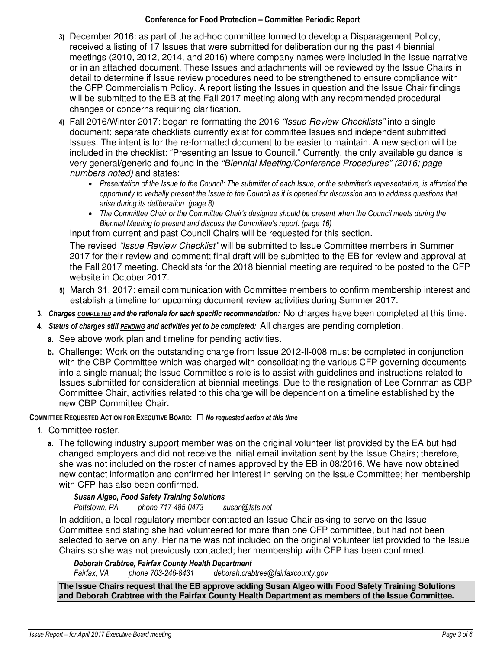- **3)** December 2016: as part of the ad-hoc committee formed to develop a Disparagement Policy, received a listing of 17 Issues that were submitted for deliberation during the past 4 biennial meetings (2010, 2012, 2014, and 2016) where company names were included in the Issue narrative or in an attached document. These Issues and attachments will be reviewed by the Issue Chairs in detail to determine if Issue review procedures need to be strengthened to ensure compliance with the CFP Commercialism Policy. A report listing the Issues in question and the Issue Chair findings will be submitted to the EB at the Fall 2017 meeting along with any recommended procedural changes or concerns requiring clarification.
- **4)** Fall 2016/Winter 2017: began re-formatting the 2016 *"Issue Review Checklists"* into a single document; separate checklists currently exist for committee Issues and independent submitted Issues. The intent is for the re-formatted document to be easier to maintain. A new section will be included in the checklist: "Presenting an Issue to Council." Currently, the only available guidance is very general/generic and found in the *"Biennial Meeting/Conference Procedures" (2016; page numbers noted)* and states:
	- *Presentation of the Issue to the Council: The submitter of each Issue, or the submitter's representative, is afforded the opportunity to verbally present the Issue to the Council as it is opened for discussion and to address questions that arise during its deliberation. (page 8)*
	- *The Committee Chair or the Committee Chair's designee should be present when the Council meets during the Biennial Meeting to present and discuss the Committee's report. (page 16)*

Input from current and past Council Chairs will be requested for this section.

The revised *"Issue Review Checklist"* will be submitted to Issue Committee members in Summer 2017 for their review and comment; final draft will be submitted to the EB for review and approval at the Fall 2017 meeting. Checklists for the 2018 biennial meeting are required to be posted to the CFP website in October 2017.

- **5)** March 31, 2017: email communication with Committee members to confirm membership interest and establish a timeline for upcoming document review activities during Summer 2017.
- **3.** *Charges COMPLETED and the rationale for each specific recommendation:* No charges have been completed at this time.
- **4.** *Status of charges still PENDING and activities yet to be completed:* All charges are pending completion.
	- **a.** See above work plan and timeline for pending activities.
	- **b.** Challenge:Work on the outstanding charge from Issue 2012-II-008 must be completed in conjunction with the CBP Committee which was charged with consolidating the various CFP governing documents into a single manual; the Issue Committee's role is to assist with guidelines and instructions related to Issues submitted for consideration at biennial meetings. Due to the resignation of Lee Cornman as CBP Committee Chair, activities related to this charge will be dependent on a timeline established by the new CBP Committee Chair.

# **COMMITTEE REQUESTED ACTION FOR EXECUTIVE BOARD:** ☐ *No requested action at this time*

- **1.** Committee roster.
	- **a.** The following industry support member was on the original volunteer list provided by the EA but had changed employers and did not receive the initial email invitation sent by the Issue Chairs; therefore, she was not included on the roster of names approved by the EB in 08/2016. We have now obtained new contact information and confirmed her interest in serving on the Issue Committee; her membership with CFP has also been confirmed.

# *Susan Algeo, Food Safety Training Solutions*

*Pottstown, PA phone 717-485-0473 susan@fsts.net* 

In addition, a local regulatory member contacted an Issue Chair asking to serve on the Issue Committee and stating she had volunteered for more than one CFP committee, but had not been selected to serve on any. Her name was not included on the original volunteer list provided to the Issue Chairs so she was not previously contacted; her membership with CFP has been confirmed.

# *Deborah Crabtree, Fairfax County Health Department*

*Fairfax, VA phone 703-246-8431 deborah.crabtree@fairfaxcounty.gov* 

**The Issue Chairs request that the EB approve adding Susan Algeo with Food Safety Training Solutions and Deborah Crabtree with the Fairfax County Health Department as members of the Issue Committee.**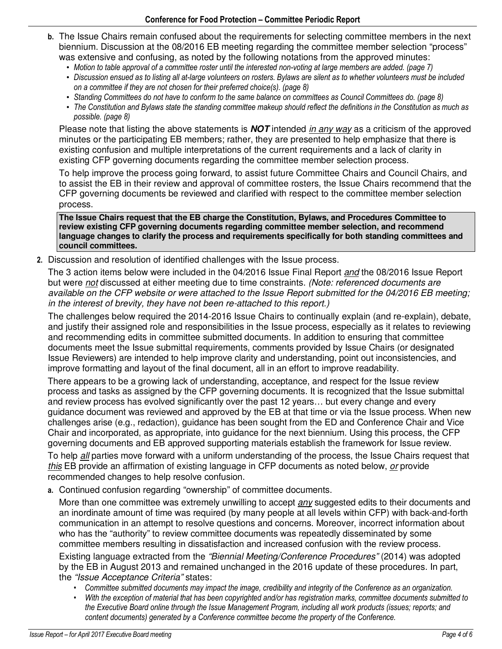- **b.** The Issue Chairs remain confused about the requirements for selecting committee members in the next biennium. Discussion at the 08/2016 EB meeting regarding the committee member selection "process" was extensive and confusing, as noted by the following notations from the approved minutes:
	- *Motion to table approval of a committee roster until the interested non-voting at large members are added. (page 7)*
	- *Discussion ensued as to listing all at-large volunteers on rosters. Bylaws are silent as to whether volunteers must be included on a committee if they are not chosen for their preferred choice(s). (page 8)*
	- *Standing Committees do not have to conform to the same balance on committees as Council Committees do. (page 8)*
	- *The Constitution and Bylaws state the standing committee makeup should reflect the definitions in the Constitution as much as possible. (page 8)*

Please note that listing the above statements is **NOT** intended *in any way* as a criticism of the approved minutes or the participating EB members; rather, they are presented to help emphasize that there is existing confusion and multiple interpretations of the current requirements and a lack of clarity in existing CFP governing documents regarding the committee member selection process.

To help improve the process going forward, to assist future Committee Chairs and Council Chairs, and to assist the EB in their review and approval of committee rosters, the Issue Chairs recommend that the CFP governing documents be reviewed and clarified with respect to the committee member selection process.

**The Issue Chairs request that the EB charge the Constitution, Bylaws, and Procedures Committee to review existing CFP governing documents regarding committee member selection, and recommend language changes to clarify the process and requirements specifically for both standing committees and council committees.** 

**2.** Discussion and resolution of identified challenges with the Issue process.

The 3 action items below were included in the 04/2016 Issue Final Report *and* the 08/2016 Issue Report but were *not* discussed at either meeting due to time constraints. *(Note: referenced documents are available on the CFP website or were attached to the Issue Report submitted for the 04/2016 EB meeting; in the interest of brevity, they have not been re-attached to this report.)*

The challenges below required the 2014-2016 Issue Chairs to continually explain (and re-explain), debate, and justify their assigned role and responsibilities in the Issue process, especially as it relates to reviewing and recommending edits in committee submitted documents. In addition to ensuring that committee documents meet the Issue submittal requirements, comments provided by Issue Chairs (or designated Issue Reviewers) are intended to help improve clarity and understanding, point out inconsistencies, and improve formatting and layout of the final document, all in an effort to improve readability.

There appears to be a growing lack of understanding, acceptance, and respect for the Issue review process and tasks as assigned by the CFP governing documents. It is recognized that the Issue submittal and review process has evolved significantly over the past 12 years… but every change and every guidance document was reviewed and approved by the EB at that time or via the Issue process. When new challenges arise (e.g., redaction), guidance has been sought from the ED and Conference Chair and Vice Chair and incorporated, as appropriate, into guidance for the next biennium. Using this process, the CFP governing documents and EB approved supporting materials establish the framework for Issue review.

To help *all* parties move forward with a uniform understanding of the process, the Issue Chairs request that *this* EB provide an affirmation of existing language in CFP documents as noted below, *or* provide recommended changes to help resolve confusion.

**a.** Continued confusion regarding "ownership" of committee documents.

More than one committee was extremely unwilling to accept *any* suggested edits to their documents and an inordinate amount of time was required (by many people at all levels within CFP) with back-and-forth communication in an attempt to resolve questions and concerns. Moreover, incorrect information about who has the "authority" to review committee documents was repeatedly disseminated by some committee members resulting in dissatisfaction and increased confusion with the review process.

Existing language extracted from the *"Biennial Meeting/Conference Procedures"* (2014) was adopted by the EB in August 2013 and remained unchanged in the 2016 update of these procedures. In part, the *"Issue Acceptance Criteria"* states:

- *Committee submitted documents may impact the image, credibility and integrity of the Conference as an organization.*
- *With the exception of material that has been copyrighted and/or has registration marks, committee documents submitted to the Executive Board online through the Issue Management Program, including all work products (issues; reports; and content documents) generated by a Conference committee become the property of the Conference.*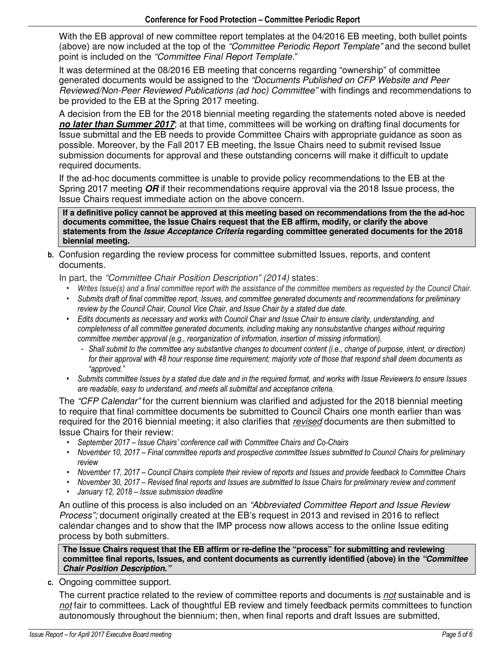With the EB approval of new committee report templates at the 04/2016 EB meeting, both bullet points (above) are now included at the top of the *"Committee Periodic Report Template"* and the second bullet point is included on the *"Committee Final Report Template*."

It was determined at the 08/2016 EB meeting that concerns regarding "ownership" of committee generated documents would be assigned to the *"Documents Published on CFP Website and Peer Reviewed/Non-Peer Reviewed Publications (ad hoc) Committee"* with findings and recommendations to be provided to the EB at the Spring 2017 meeting.

A decision from the EB for the 2018 biennial meeting regarding the statements noted above is needed **no later than Summer 2017**; at that time, committees will be working on drafting final documents for Issue submittal and the EB needs to provide Committee Chairs with appropriate guidance as soon as possible. Moreover, by the Fall 2017 EB meeting, the Issue Chairs need to submit revised Issue submission documents for approval and these outstanding concerns will make it difficult to update required documents.

If the ad-hoc documents committee is unable to provide policy recommendations to the EB at the Spring 2017 meeting **OR** if their recommendations require approval via the 2018 Issue process, the Issue Chairs request immediate action on the above concern.

**If a definitive policy cannot be approved at this meeting based on recommendations from the the ad-hoc documents committee, the Issue Chairs request that the EB affirm, modify, or clarify the above statements from the Issue Acceptance Criteria regarding committee generated documents for the 2018 biennial meeting.** 

**b.** Confusion regarding the review process for committee submitted Issues, reports, and content documents.

In part, the *"Committee Chair Position Description" (2014)* states:

- *Writes Issue(s) and a final committee report with the assistance of the committee members as requested by the Council Chair.*
- *Submits draft of final committee report, Issues, and committee generated documents and recommendations for preliminary review by the Council Chair, Council Vice Chair, and Issue Chair by a stated due date.*
- *Edits documents as necessary and works with Council Chair and Issue Chair to ensure clarity, understanding, and completeness of all committee generated documents, including making any nonsubstantive changes without requiring committee member approval (e.g., reorganization of information, insertion of missing information).* 
	- *Shall submit to the committee any substantive changes to document content (i.e., change of purpose, intent, or direction) for their approval with 48 hour response time requirement; majority vote of those that respond shall deem documents as "approved."*
- *Submits committee Issues by a stated due date and in the required format, and works with Issue Reviewers to ensure Issues are readable, easy to understand, and meets all submittal and acceptance criteria.*

The *"CFP Calendar"* for the current biennium was clarified and adjusted for the 2018 biennial meeting to require that final committee documents be submitted to Council Chairs one month earlier than was required for the 2016 biennial meeting; it also clarifies that *revised* documents are then submitted to Issue Chairs for their review:

- *September 2017 Issue Chairs' conference call with Committee Chairs and Co-Chairs*
- *November 10, 2017 Final committee reports and prospective committee Issues submitted to Council Chairs for preliminary review*
- *November 17, 2017 Council Chairs complete their review of reports and Issues and provide feedback to Committee Chairs*
- *November 30, 2017 Revised final reports and Issues are submitted to Issue Chairs for preliminary review and comment*
- *January 12, 2018 Issue submission deadline*

An outline of this process is also included on an *"Abbreviated Committee Report and Issue Review Process";* document originally created at the EB's request in 2013 and revised in 2016 to reflect calendar changes and to show that the IMP process now allows access to the online Issue editing process by both submitters.

**The Issue Chairs request that the EB affirm or re-define the "process" for submitting and reviewing committee final reports, Issues, and content documents as currently identified (above) in the "Committee Chair Position Description."**

**c.** Ongoing committee support*.* 

The current practice related to the review of committee reports and documents is *not* sustainable and is *not* fair to committees. Lack of thoughtful EB review and timely feedback permits committees to function autonomously throughout the biennium; then, when final reports and draft Issues are submitted,